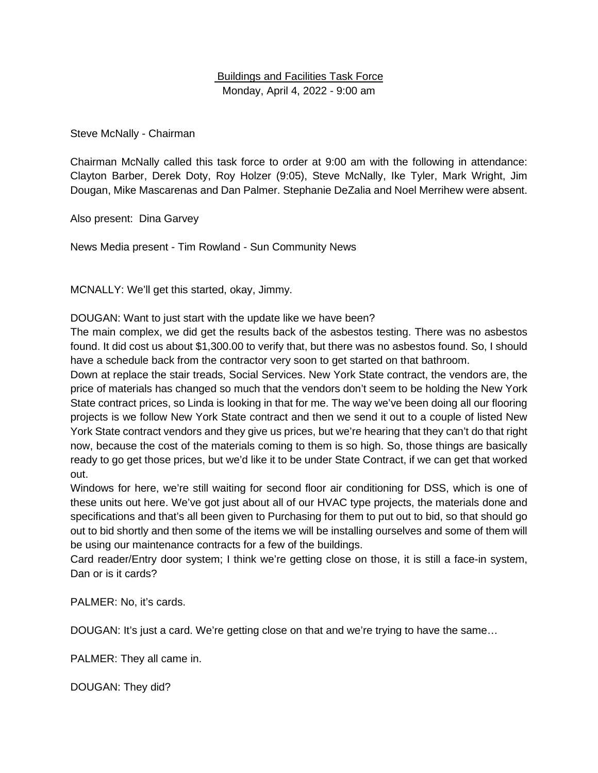## Buildings and Facilities Task Force Monday, April 4, 2022 - 9:00 am

Steve McNally - Chairman

Chairman McNally called this task force to order at 9:00 am with the following in attendance: Clayton Barber, Derek Doty, Roy Holzer (9:05), Steve McNally, Ike Tyler, Mark Wright, Jim Dougan, Mike Mascarenas and Dan Palmer. Stephanie DeZalia and Noel Merrihew were absent.

Also present: Dina Garvey

News Media present - Tim Rowland - Sun Community News

MCNALLY: We'll get this started, okay, Jimmy.

DOUGAN: Want to just start with the update like we have been?

The main complex, we did get the results back of the asbestos testing. There was no asbestos found. It did cost us about \$1,300.00 to verify that, but there was no asbestos found. So, I should have a schedule back from the contractor very soon to get started on that bathroom.

Down at replace the stair treads, Social Services. New York State contract, the vendors are, the price of materials has changed so much that the vendors don't seem to be holding the New York State contract prices, so Linda is looking in that for me. The way we've been doing all our flooring projects is we follow New York State contract and then we send it out to a couple of listed New York State contract vendors and they give us prices, but we're hearing that they can't do that right now, because the cost of the materials coming to them is so high. So, those things are basically ready to go get those prices, but we'd like it to be under State Contract, if we can get that worked out.

Windows for here, we're still waiting for second floor air conditioning for DSS, which is one of these units out here. We've got just about all of our HVAC type projects, the materials done and specifications and that's all been given to Purchasing for them to put out to bid, so that should go out to bid shortly and then some of the items we will be installing ourselves and some of them will be using our maintenance contracts for a few of the buildings.

Card reader/Entry door system; I think we're getting close on those, it is still a face-in system, Dan or is it cards?

PALMER: No, it's cards.

DOUGAN: It's just a card. We're getting close on that and we're trying to have the same…

PALMER: They all came in.

DOUGAN: They did?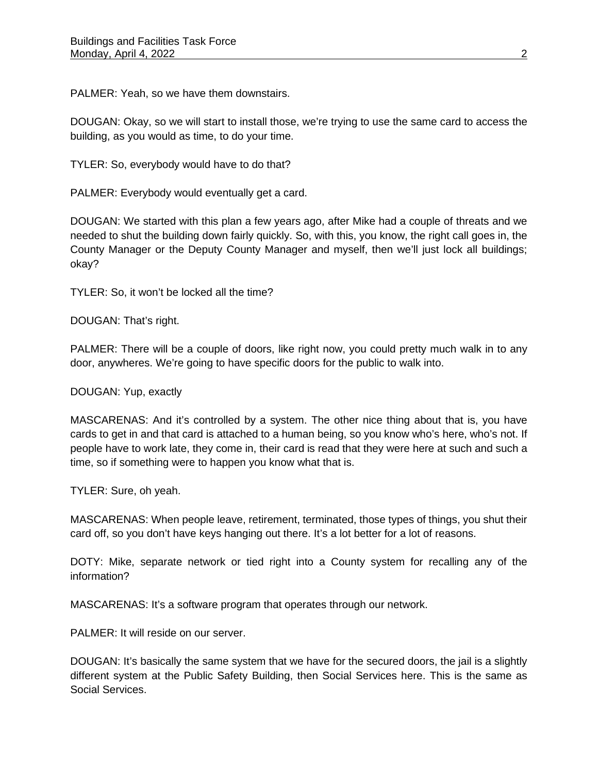PALMER: Yeah, so we have them downstairs.

DOUGAN: Okay, so we will start to install those, we're trying to use the same card to access the building, as you would as time, to do your time.

TYLER: So, everybody would have to do that?

PALMER: Everybody would eventually get a card.

DOUGAN: We started with this plan a few years ago, after Mike had a couple of threats and we needed to shut the building down fairly quickly. So, with this, you know, the right call goes in, the County Manager or the Deputy County Manager and myself, then we'll just lock all buildings; okay?

TYLER: So, it won't be locked all the time?

DOUGAN: That's right.

PALMER: There will be a couple of doors, like right now, you could pretty much walk in to any door, anywheres. We're going to have specific doors for the public to walk into.

DOUGAN: Yup, exactly

MASCARENAS: And it's controlled by a system. The other nice thing about that is, you have cards to get in and that card is attached to a human being, so you know who's here, who's not. If people have to work late, they come in, their card is read that they were here at such and such a time, so if something were to happen you know what that is.

TYLER: Sure, oh yeah.

MASCARENAS: When people leave, retirement, terminated, those types of things, you shut their card off, so you don't have keys hanging out there. It's a lot better for a lot of reasons.

DOTY: Mike, separate network or tied right into a County system for recalling any of the information?

MASCARENAS: It's a software program that operates through our network.

PALMER: It will reside on our server.

DOUGAN: It's basically the same system that we have for the secured doors, the jail is a slightly different system at the Public Safety Building, then Social Services here. This is the same as Social Services.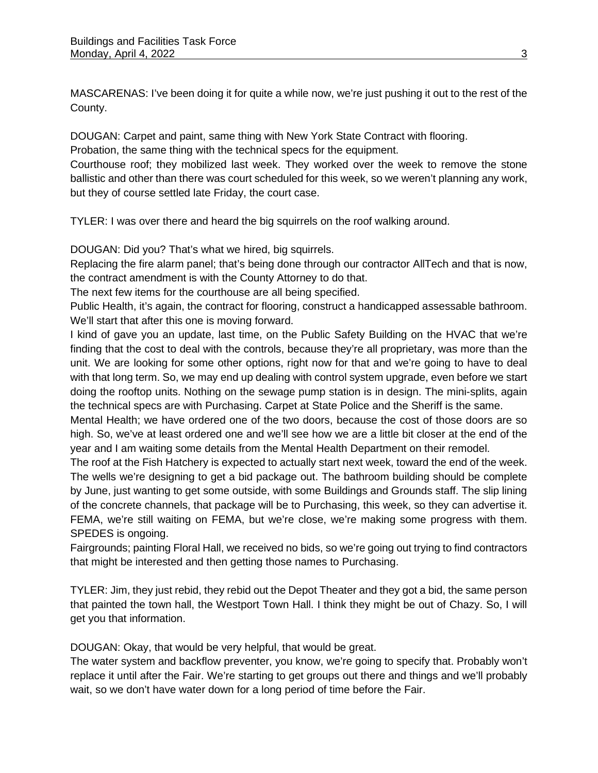MASCARENAS: I've been doing it for quite a while now, we're just pushing it out to the rest of the County.

DOUGAN: Carpet and paint, same thing with New York State Contract with flooring. Probation, the same thing with the technical specs for the equipment.

Courthouse roof; they mobilized last week. They worked over the week to remove the stone ballistic and other than there was court scheduled for this week, so we weren't planning any work, but they of course settled late Friday, the court case.

TYLER: I was over there and heard the big squirrels on the roof walking around.

DOUGAN: Did you? That's what we hired, big squirrels.

Replacing the fire alarm panel; that's being done through our contractor AllTech and that is now, the contract amendment is with the County Attorney to do that.

The next few items for the courthouse are all being specified.

Public Health, it's again, the contract for flooring, construct a handicapped assessable bathroom. We'll start that after this one is moving forward.

I kind of gave you an update, last time, on the Public Safety Building on the HVAC that we're finding that the cost to deal with the controls, because they're all proprietary, was more than the unit. We are looking for some other options, right now for that and we're going to have to deal with that long term. So, we may end up dealing with control system upgrade, even before we start doing the rooftop units. Nothing on the sewage pump station is in design. The mini-splits, again the technical specs are with Purchasing. Carpet at State Police and the Sheriff is the same.

Mental Health; we have ordered one of the two doors, because the cost of those doors are so high. So, we've at least ordered one and we'll see how we are a little bit closer at the end of the year and I am waiting some details from the Mental Health Department on their remodel.

The roof at the Fish Hatchery is expected to actually start next week, toward the end of the week. The wells we're designing to get a bid package out. The bathroom building should be complete by June, just wanting to get some outside, with some Buildings and Grounds staff. The slip lining of the concrete channels, that package will be to Purchasing, this week, so they can advertise it. FEMA, we're still waiting on FEMA, but we're close, we're making some progress with them. SPEDES is ongoing.

Fairgrounds; painting Floral Hall, we received no bids, so we're going out trying to find contractors that might be interested and then getting those names to Purchasing.

TYLER: Jim, they just rebid, they rebid out the Depot Theater and they got a bid, the same person that painted the town hall, the Westport Town Hall. I think they might be out of Chazy. So, I will get you that information.

DOUGAN: Okay, that would be very helpful, that would be great.

The water system and backflow preventer, you know, we're going to specify that. Probably won't replace it until after the Fair. We're starting to get groups out there and things and we'll probably wait, so we don't have water down for a long period of time before the Fair.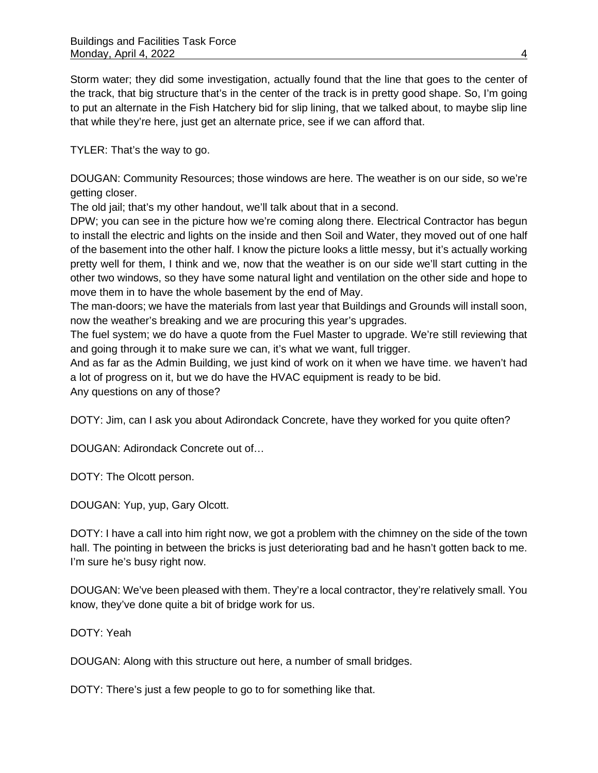Storm water; they did some investigation, actually found that the line that goes to the center of the track, that big structure that's in the center of the track is in pretty good shape. So, I'm going to put an alternate in the Fish Hatchery bid for slip lining, that we talked about, to maybe slip line that while they're here, just get an alternate price, see if we can afford that.

TYLER: That's the way to go.

DOUGAN: Community Resources; those windows are here. The weather is on our side, so we're getting closer.

The old jail; that's my other handout, we'll talk about that in a second.

DPW; you can see in the picture how we're coming along there. Electrical Contractor has begun to install the electric and lights on the inside and then Soil and Water, they moved out of one half of the basement into the other half. I know the picture looks a little messy, but it's actually working pretty well for them, I think and we, now that the weather is on our side we'll start cutting in the other two windows, so they have some natural light and ventilation on the other side and hope to move them in to have the whole basement by the end of May.

The man-doors; we have the materials from last year that Buildings and Grounds will install soon, now the weather's breaking and we are procuring this year's upgrades.

The fuel system; we do have a quote from the Fuel Master to upgrade. We're still reviewing that and going through it to make sure we can, it's what we want, full trigger.

And as far as the Admin Building, we just kind of work on it when we have time. we haven't had a lot of progress on it, but we do have the HVAC equipment is ready to be bid.

Any questions on any of those?

DOTY: Jim, can I ask you about Adirondack Concrete, have they worked for you quite often?

DOUGAN: Adirondack Concrete out of…

DOTY: The Olcott person.

DOUGAN: Yup, yup, Gary Olcott.

DOTY: I have a call into him right now, we got a problem with the chimney on the side of the town hall. The pointing in between the bricks is just deteriorating bad and he hasn't gotten back to me. I'm sure he's busy right now.

DOUGAN: We've been pleased with them. They're a local contractor, they're relatively small. You know, they've done quite a bit of bridge work for us.

DOTY: Yeah

DOUGAN: Along with this structure out here, a number of small bridges.

DOTY: There's just a few people to go to for something like that.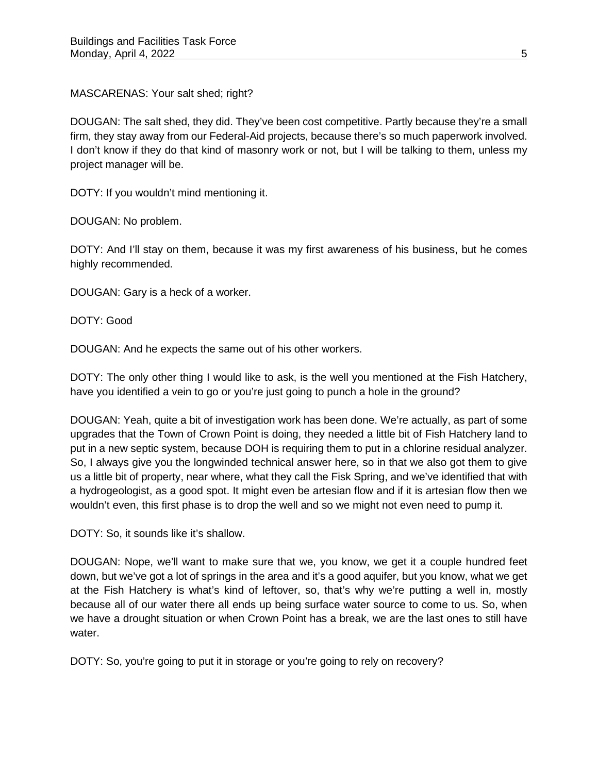MASCARENAS: Your salt shed; right?

DOUGAN: The salt shed, they did. They've been cost competitive. Partly because they're a small firm, they stay away from our Federal-Aid projects, because there's so much paperwork involved. I don't know if they do that kind of masonry work or not, but I will be talking to them, unless my project manager will be.

DOTY: If you wouldn't mind mentioning it.

DOUGAN: No problem.

DOTY: And I'll stay on them, because it was my first awareness of his business, but he comes highly recommended.

DOUGAN: Gary is a heck of a worker.

DOTY: Good

DOUGAN: And he expects the same out of his other workers.

DOTY: The only other thing I would like to ask, is the well you mentioned at the Fish Hatchery, have you identified a vein to go or you're just going to punch a hole in the ground?

DOUGAN: Yeah, quite a bit of investigation work has been done. We're actually, as part of some upgrades that the Town of Crown Point is doing, they needed a little bit of Fish Hatchery land to put in a new septic system, because DOH is requiring them to put in a chlorine residual analyzer. So, I always give you the longwinded technical answer here, so in that we also got them to give us a little bit of property, near where, what they call the Fisk Spring, and we've identified that with a hydrogeologist, as a good spot. It might even be artesian flow and if it is artesian flow then we wouldn't even, this first phase is to drop the well and so we might not even need to pump it.

DOTY: So, it sounds like it's shallow.

DOUGAN: Nope, we'll want to make sure that we, you know, we get it a couple hundred feet down, but we've got a lot of springs in the area and it's a good aquifer, but you know, what we get at the Fish Hatchery is what's kind of leftover, so, that's why we're putting a well in, mostly because all of our water there all ends up being surface water source to come to us. So, when we have a drought situation or when Crown Point has a break, we are the last ones to still have water.

DOTY: So, you're going to put it in storage or you're going to rely on recovery?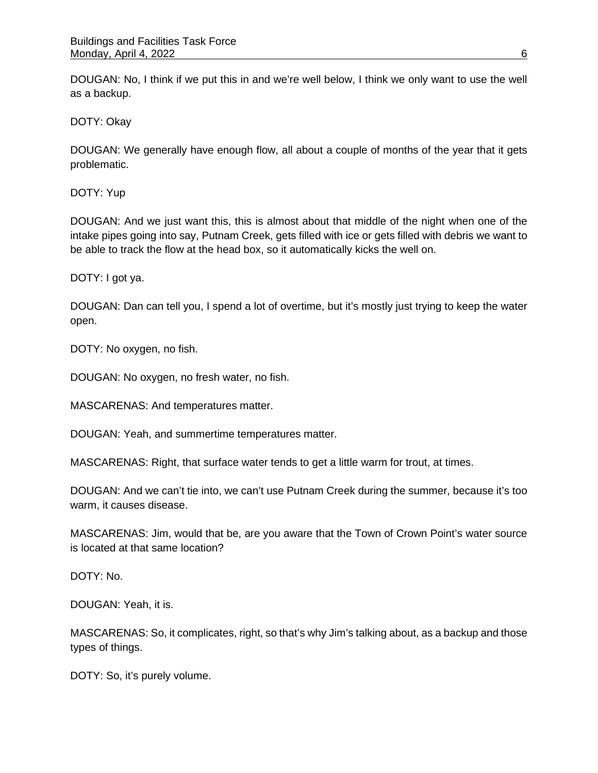DOUGAN: No, I think if we put this in and we're well below, I think we only want to use the well as a backup.

DOTY: Okay

DOUGAN: We generally have enough flow, all about a couple of months of the year that it gets problematic.

DOTY: Yup

DOUGAN: And we just want this, this is almost about that middle of the night when one of the intake pipes going into say, Putnam Creek, gets filled with ice or gets filled with debris we want to be able to track the flow at the head box, so it automatically kicks the well on.

DOTY: I got ya.

DOUGAN: Dan can tell you, I spend a lot of overtime, but it's mostly just trying to keep the water open.

DOTY: No oxygen, no fish.

DOUGAN: No oxygen, no fresh water, no fish.

MASCARENAS: And temperatures matter.

DOUGAN: Yeah, and summertime temperatures matter.

MASCARENAS: Right, that surface water tends to get a little warm for trout, at times.

DOUGAN: And we can't tie into, we can't use Putnam Creek during the summer, because it's too warm, it causes disease.

MASCARENAS: Jim, would that be, are you aware that the Town of Crown Point's water source is located at that same location?

DOTY: No.

DOUGAN: Yeah, it is.

MASCARENAS: So, it complicates, right, so that's why Jim's talking about, as a backup and those types of things.

DOTY: So, it's purely volume.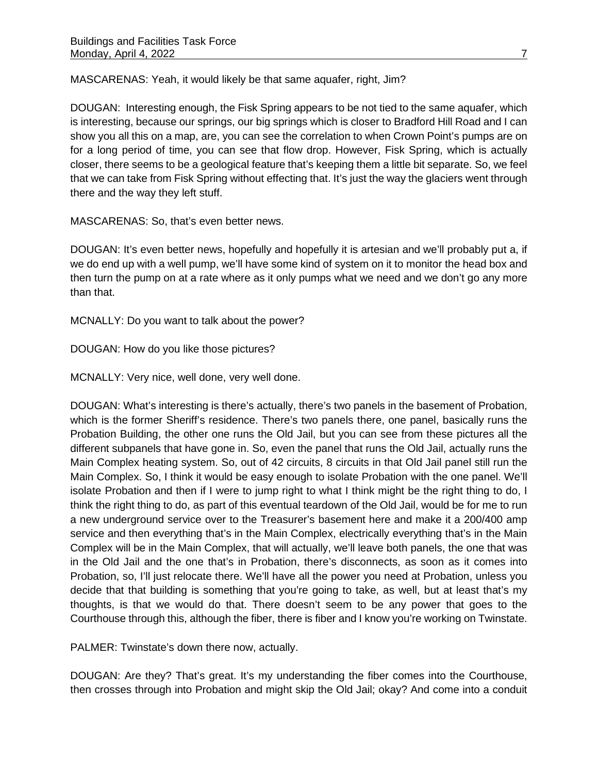MASCARENAS: Yeah, it would likely be that same aquafer, right, Jim?

DOUGAN: Interesting enough, the Fisk Spring appears to be not tied to the same aquafer, which is interesting, because our springs, our big springs which is closer to Bradford Hill Road and I can show you all this on a map, are, you can see the correlation to when Crown Point's pumps are on for a long period of time, you can see that flow drop. However, Fisk Spring, which is actually closer, there seems to be a geological feature that's keeping them a little bit separate. So, we feel that we can take from Fisk Spring without effecting that. It's just the way the glaciers went through there and the way they left stuff.

MASCARENAS: So, that's even better news.

DOUGAN: It's even better news, hopefully and hopefully it is artesian and we'll probably put a, if we do end up with a well pump, we'll have some kind of system on it to monitor the head box and then turn the pump on at a rate where as it only pumps what we need and we don't go any more than that.

MCNALLY: Do you want to talk about the power?

DOUGAN: How do you like those pictures?

MCNALLY: Very nice, well done, very well done.

DOUGAN: What's interesting is there's actually, there's two panels in the basement of Probation, which is the former Sheriff's residence. There's two panels there, one panel, basically runs the Probation Building, the other one runs the Old Jail, but you can see from these pictures all the different subpanels that have gone in. So, even the panel that runs the Old Jail, actually runs the Main Complex heating system. So, out of 42 circuits, 8 circuits in that Old Jail panel still run the Main Complex. So, I think it would be easy enough to isolate Probation with the one panel. We'll isolate Probation and then if I were to jump right to what I think might be the right thing to do, I think the right thing to do, as part of this eventual teardown of the Old Jail, would be for me to run a new underground service over to the Treasurer's basement here and make it a 200/400 amp service and then everything that's in the Main Complex, electrically everything that's in the Main Complex will be in the Main Complex, that will actually, we'll leave both panels, the one that was in the Old Jail and the one that's in Probation, there's disconnects, as soon as it comes into Probation, so, I'll just relocate there. We'll have all the power you need at Probation, unless you decide that that building is something that you're going to take, as well, but at least that's my thoughts, is that we would do that. There doesn't seem to be any power that goes to the Courthouse through this, although the fiber, there is fiber and I know you're working on Twinstate.

PALMER: Twinstate's down there now, actually.

DOUGAN: Are they? That's great. It's my understanding the fiber comes into the Courthouse, then crosses through into Probation and might skip the Old Jail; okay? And come into a conduit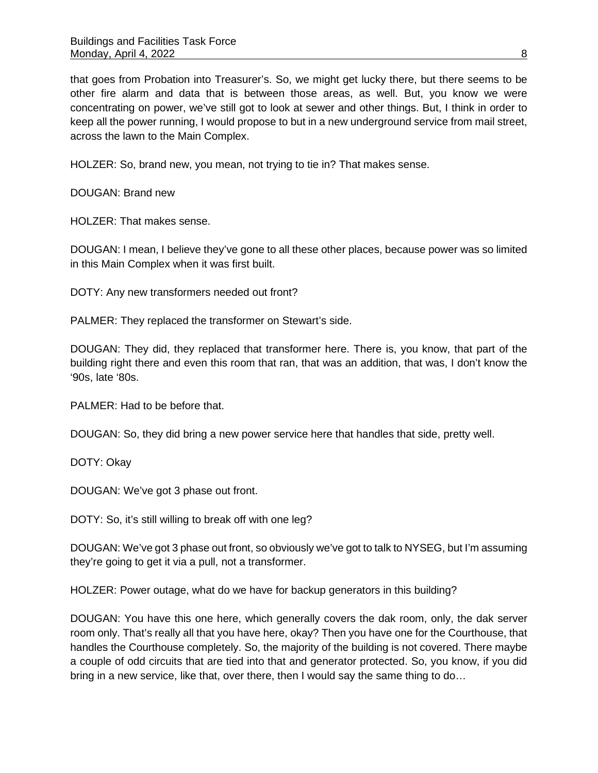that goes from Probation into Treasurer's. So, we might get lucky there, but there seems to be other fire alarm and data that is between those areas, as well. But, you know we were concentrating on power, we've still got to look at sewer and other things. But, I think in order to keep all the power running, I would propose to but in a new underground service from mail street, across the lawn to the Main Complex.

HOLZER: So, brand new, you mean, not trying to tie in? That makes sense.

DOUGAN: Brand new

HOLZER: That makes sense.

DOUGAN: I mean, I believe they've gone to all these other places, because power was so limited in this Main Complex when it was first built.

DOTY: Any new transformers needed out front?

PALMER: They replaced the transformer on Stewart's side.

DOUGAN: They did, they replaced that transformer here. There is, you know, that part of the building right there and even this room that ran, that was an addition, that was, I don't know the '90s, late '80s.

PALMER: Had to be before that.

DOUGAN: So, they did bring a new power service here that handles that side, pretty well.

DOTY: Okay

DOUGAN: We've got 3 phase out front.

DOTY: So, it's still willing to break off with one leg?

DOUGAN: We've got 3 phase out front, so obviously we've got to talk to NYSEG, but I'm assuming they're going to get it via a pull, not a transformer.

HOLZER: Power outage, what do we have for backup generators in this building?

DOUGAN: You have this one here, which generally covers the dak room, only, the dak server room only. That's really all that you have here, okay? Then you have one for the Courthouse, that handles the Courthouse completely. So, the majority of the building is not covered. There maybe a couple of odd circuits that are tied into that and generator protected. So, you know, if you did bring in a new service, like that, over there, then I would say the same thing to do…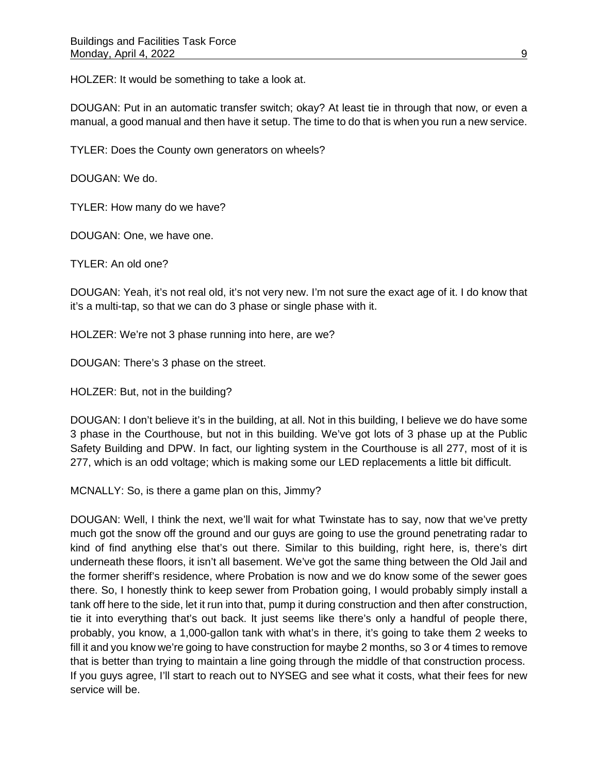HOLZER: It would be something to take a look at.

DOUGAN: Put in an automatic transfer switch; okay? At least tie in through that now, or even a manual, a good manual and then have it setup. The time to do that is when you run a new service.

TYLER: Does the County own generators on wheels?

DOUGAN: We do.

TYLER: How many do we have?

DOUGAN: One, we have one.

TYLER: An old one?

DOUGAN: Yeah, it's not real old, it's not very new. I'm not sure the exact age of it. I do know that it's a multi-tap, so that we can do 3 phase or single phase with it.

HOLZER: We're not 3 phase running into here, are we?

DOUGAN: There's 3 phase on the street.

HOLZER: But, not in the building?

DOUGAN: I don't believe it's in the building, at all. Not in this building, I believe we do have some 3 phase in the Courthouse, but not in this building. We've got lots of 3 phase up at the Public Safety Building and DPW. In fact, our lighting system in the Courthouse is all 277, most of it is 277, which is an odd voltage; which is making some our LED replacements a little bit difficult.

MCNALLY: So, is there a game plan on this, Jimmy?

DOUGAN: Well, I think the next, we'll wait for what Twinstate has to say, now that we've pretty much got the snow off the ground and our guys are going to use the ground penetrating radar to kind of find anything else that's out there. Similar to this building, right here, is, there's dirt underneath these floors, it isn't all basement. We've got the same thing between the Old Jail and the former sheriff's residence, where Probation is now and we do know some of the sewer goes there. So, I honestly think to keep sewer from Probation going, I would probably simply install a tank off here to the side, let it run into that, pump it during construction and then after construction, tie it into everything that's out back. It just seems like there's only a handful of people there, probably, you know, a 1,000-gallon tank with what's in there, it's going to take them 2 weeks to fill it and you know we're going to have construction for maybe 2 months, so 3 or 4 times to remove that is better than trying to maintain a line going through the middle of that construction process. If you guys agree, I'll start to reach out to NYSEG and see what it costs, what their fees for new service will be.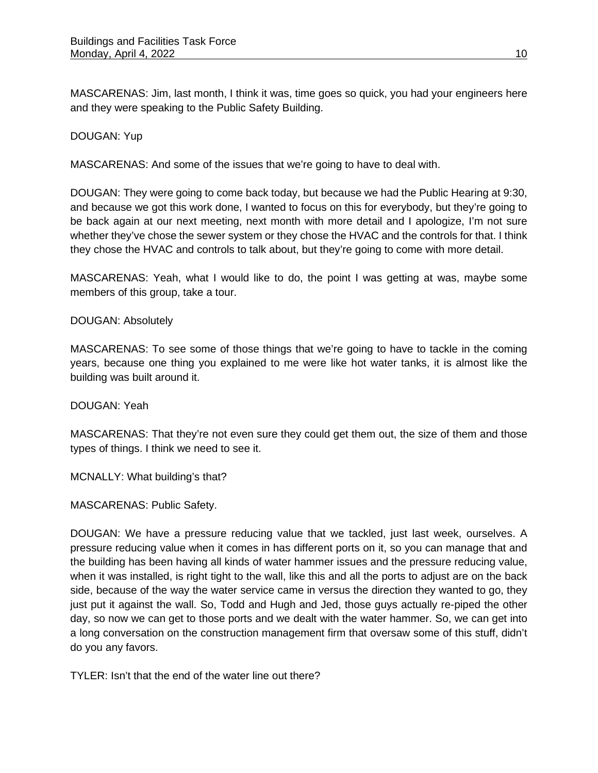MASCARENAS: Jim, last month, I think it was, time goes so quick, you had your engineers here and they were speaking to the Public Safety Building.

## DOUGAN: Yup

MASCARENAS: And some of the issues that we're going to have to deal with.

DOUGAN: They were going to come back today, but because we had the Public Hearing at 9:30, and because we got this work done, I wanted to focus on this for everybody, but they're going to be back again at our next meeting, next month with more detail and I apologize, I'm not sure whether they've chose the sewer system or they chose the HVAC and the controls for that. I think they chose the HVAC and controls to talk about, but they're going to come with more detail.

MASCARENAS: Yeah, what I would like to do, the point I was getting at was, maybe some members of this group, take a tour.

## DOUGAN: Absolutely

MASCARENAS: To see some of those things that we're going to have to tackle in the coming years, because one thing you explained to me were like hot water tanks, it is almost like the building was built around it.

DOUGAN: Yeah

MASCARENAS: That they're not even sure they could get them out, the size of them and those types of things. I think we need to see it.

MCNALLY: What building's that?

MASCARENAS: Public Safety.

DOUGAN: We have a pressure reducing value that we tackled, just last week, ourselves. A pressure reducing value when it comes in has different ports on it, so you can manage that and the building has been having all kinds of water hammer issues and the pressure reducing value, when it was installed, is right tight to the wall, like this and all the ports to adjust are on the back side, because of the way the water service came in versus the direction they wanted to go, they just put it against the wall. So, Todd and Hugh and Jed, those guys actually re-piped the other day, so now we can get to those ports and we dealt with the water hammer. So, we can get into a long conversation on the construction management firm that oversaw some of this stuff, didn't do you any favors.

TYLER: Isn't that the end of the water line out there?